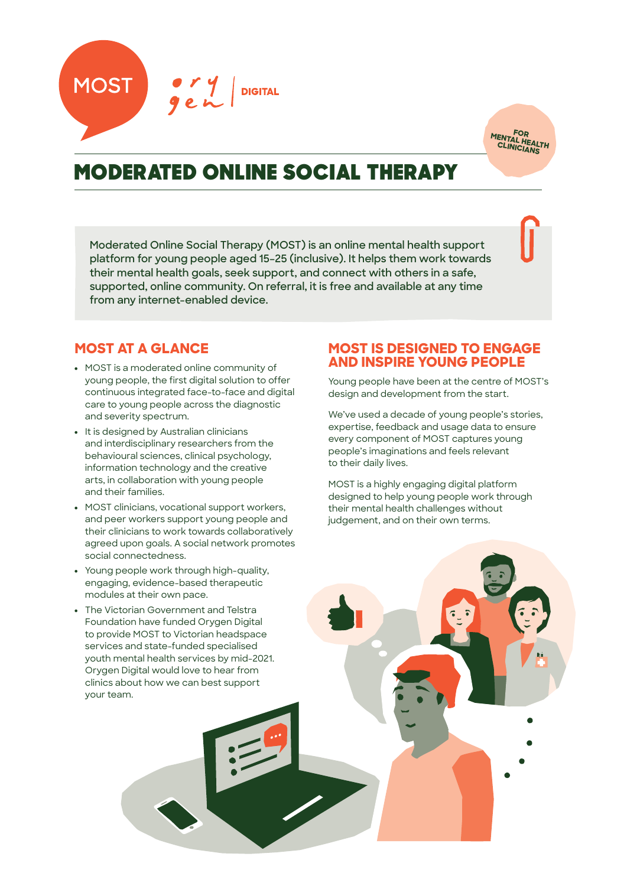



# MODERATED ONLINE SOCIAL THERAPY

**Moderated Online Social Therapy (MOST) is an online mental health support platform for young people aged 15–25 (inclusive). It helps them work towards their mental health goals, seek support, and connect with others in a safe, supported, online community. On referral, it is free and available at any time from any internet-enabled device.**

## **MOST AT A GLANCE**

- MOST is a moderated online community of young people, the first digital solution to offer continuous integrated face-to-face and digital care to young people across the diagnostic and severity spectrum.
- It is designed by Australian clinicians and interdisciplinary researchers from the behavioural sciences, clinical psychology, information technology and the creative arts, in collaboration with young people and their families.
- MOST clinicians, vocational support workers, and peer workers support young people and their clinicians to work towards collaboratively agreed upon goals. A social network promotes social connectedness.
- Young people work through high-quality, engaging, evidence-based therapeutic modules at their own pace.
- The Victorian Government and Telstra Foundation have funded Orygen Digital to provide MOST to Victorian headspace services and state-funded specialised youth mental health services by mid-2021. Orygen Digital would love to hear from clinics about how we can best support your team.

## **MOST IS DESIGNED TO ENGAGE AND INSPIRE YOUNG PEOPLE**

Young people have been at the centre of MOST's design and development from the start.

We've used a decade of young people's stories, expertise, feedback and usage data to ensure every component of MOST captures young people's imaginations and feels relevant to their daily lives.

MOST is a highly engaging digital platform designed to help young people work through their mental health challenges without judgement, and on their own terms.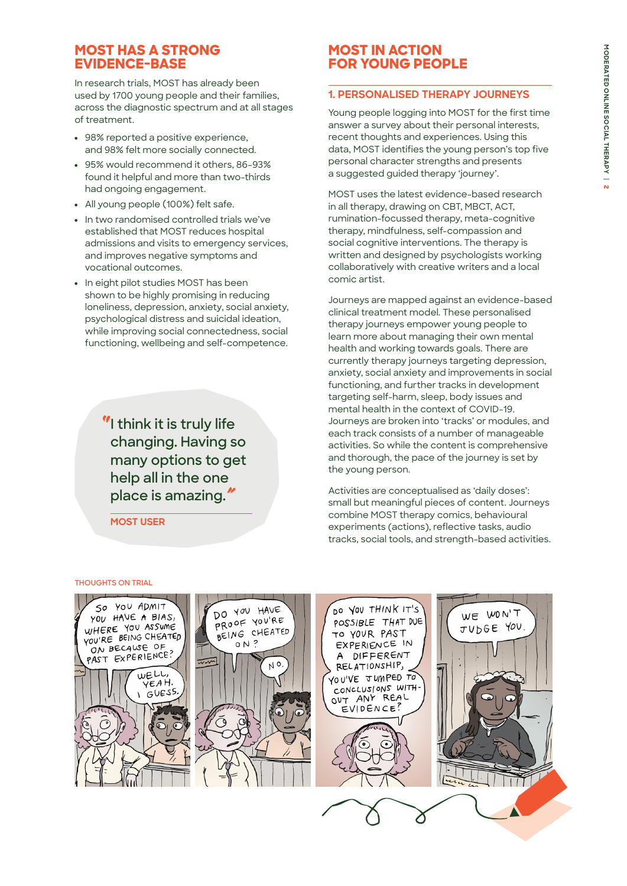## **MOST HAS A STRONG EVIDENCE-BASE**

In research trials, MOST has already been used by 1700 young people and their families, across the diagnostic spectrum and at all stages of treatment.

- 98% reported a positive experience, and 98% felt more socially connected.
- 95% would recommend it others, 86–93% found it helpful and more than two-thirds had ongoing engagement.
- All young people (100%) felt safe.
- In two randomised controlled trials we've established that MOST reduces hospital admissions and visits to emergency services, and improves negative symptoms and vocational outcomes.
- In eight pilot studies MOST has been shown to be highly promising in reducing loneliness, depression, anxiety, social anxiety, psychological distress and suicidal ideation, while improving social connectedness, social functioning, wellbeing and self-competence.

*"* **I think it is truly life changing. Having so many options to get help all in the one place is amazing.***"*

**MOST USER**

## **MOST IN ACTION FOR YOUNG PEOPLE**

### **1. PERSONALISED THERAPY JOURNEYS**

Young people logging into MOST for the first time answer a survey about their personal interests, recent thoughts and experiences. Using this data, MOST identifies the young person's top five personal character strengths and presents a suggested guided therapy 'journey'.

MOST uses the latest evidence-based research in all therapy, drawing on CBT, MBCT, ACT, rumination-focussed therapy, meta-cognitive therapy, mindfulness, self-compassion and social cognitive interventions. The therapy is written and designed by psychologists working collaboratively with creative writers and a local comic artist.

Journeys are mapped against an evidence-based clinical treatment model. These personalised therapy journeys empower young people to learn more about managing their own mental health and working towards goals. There are currently therapy journeys targeting depression, anxiety, social anxiety and improvements in social functioning, and further tracks in development targeting self-harm, sleep, body issues and mental health in the context of COVID-19. Journeys are broken into 'tracks' or modules, and each track consists of a number of manageable activities. So while the content is comprehensive and thorough, the pace of the journey is set by the young person.

Activities are conceptualised as 'daily doses': small but meaningful pieces of content. Journeys combine MOST therapy comics, behavioural experiments (actions), reflective tasks, audio tracks, social tools, and strength-based activities.

#### **THOUGHTS ON TRIAL**

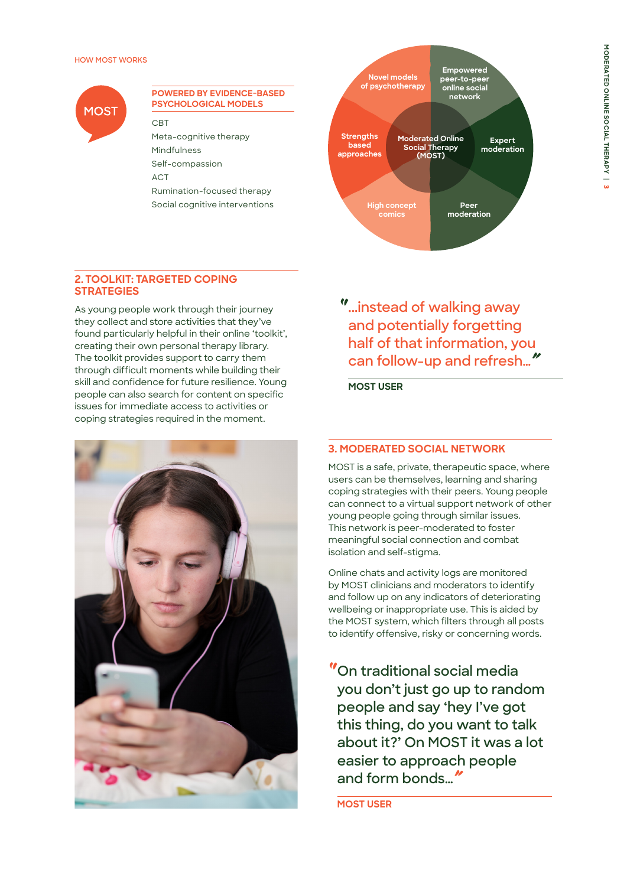#### **HOW MOST WORKS**



#### **POWERED BY EVIDENCE-BASED PSYCHOLOGICAL MODELS**

#### CBT

Meta-cognitive therapy Mindfulness Self-compassion **ACT** Rumination-focused therapy Social cognitive interventions



#### **2. TOOLKIT: TARGETED COPING STRATEGIES**

As young people work through their journey they collect and store activities that they've found particularly helpful in their online 'toolkit', creating their own personal therapy library. The toolkit provides support to carry them through difficult moments while building their skill and confidence for future resilience. Young people can also search for content on specific issues for immediate access to activities or coping strategies required in the moment.



*"* **...instead of walking away and potentially forgetting half of that information, you can follow-up and refresh…***"*

**MOST USER**

### **3. MODERATED SOCIAL NETWORK**

MOST is a safe, private, therapeutic space, where users can be themselves, learning and sharing coping strategies with their peers. Young people can connect to a virtual support network of other young people going through similar issues. This network is peer-moderated to foster meaningful social connection and combat isolation and self-stigma.

Online chats and activity logs are monitored by MOST clinicians and moderators to identify and follow up on any indicators of deteriorating wellbeing or inappropriate use. This is aided by the MOST system, which filters through all posts to identify offensive, risky or concerning words.

*"* **On traditional social media you don't just go up to random people and say 'hey I've got this thing, do you want to talk about it?' On MOST it was a lot easier to approach people and form bonds…***"*

**MOST USER**